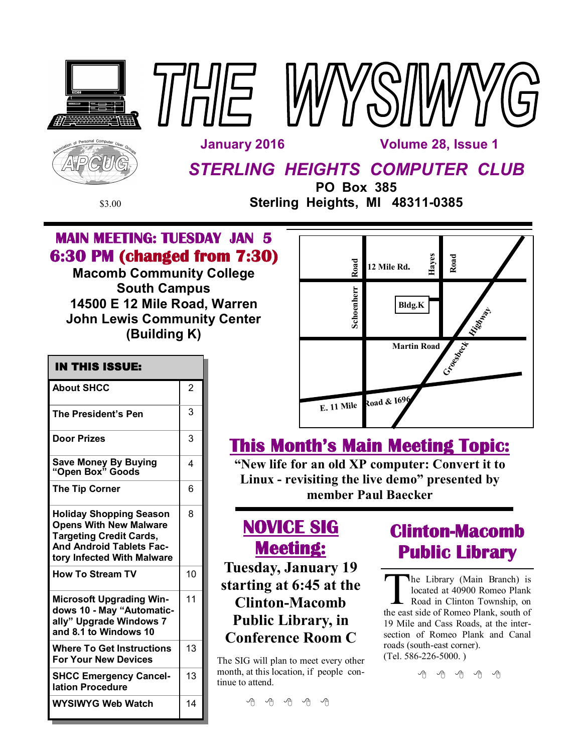





 **January 2016 Volume 28, Issue 1** 

# *STERLING HEIGHTS COMPUTER CLUB*

**PO Box 385** \$3.00 **Sterling Heights, MI 48311-0385**

T

Г

## **MAIN MEETING: TUESDAY JAN 5 6:30 PM (changed from 7:30)**

**Macomb Community College South Campus 14500 E 12 Mile Road, Warren John Lewis Community Center (Building K)**

| IN THIS ISSUE:                                                                                                                                                     |                |
|--------------------------------------------------------------------------------------------------------------------------------------------------------------------|----------------|
| <b>About SHCC</b>                                                                                                                                                  | $\overline{2}$ |
| <b>The President's Pen</b>                                                                                                                                         | 3              |
| <b>Door Prizes</b>                                                                                                                                                 | 3              |
| Save Money By Buying<br>"Open Box" Goods                                                                                                                           | 4              |
| <b>The Tip Corner</b>                                                                                                                                              | 6              |
| <b>Holiday Shopping Season</b><br><b>Opens With New Malware</b><br><b>Targeting Credit Cards,</b><br><b>And Android Tablets Fac-</b><br>tory Infected With Malware | 8              |
| <b>How To Stream TV</b>                                                                                                                                            | 10             |
| <b>Microsoft Upgrading Win-</b><br>dows 10 - May "Automatic-<br>ally" Upgrade Windows 7<br>and 8.1 to Windows 10                                                   | 11             |
| <b>Where To Get Instructions</b><br><b>For Your New Devices</b>                                                                                                    | 13             |
| <b>SHCC Emergency Cancel-</b><br>lation Procedure                                                                                                                  | 13             |
| <b>WYSIWYG Web Watch</b>                                                                                                                                           | 14             |

| Road       | Hayes<br>12 Mile Rd. | Road           |
|------------|----------------------|----------------|
| Schoenherr | Bldg.K               |                |
|            | <b>Martin Road</b>   | <b>History</b> |
|            |                      | Crice Beck     |
| E. 11 Mile | Road & 1696          |                |

# **This Month's Main Meeting Topic:**

**"New life for an old XP computer: Convert it to Linux - revisiting the live demo" presented by member Paul Baecker**

# **NOVICE SIG Meeting:**

**Tuesday, January 19 starting at 6:45 at the Clinton-Macomb Public Library, in Conference Room C**

The SIG will plan to meet every other month, at this location, if people continue to attend.

# **Clinton-Macomb Public Library**

The Library (Main Branch) is<br>located at 40900 Romeo Plank<br>Road in Clinton Township, on<br>the east side of Romeo Plank, south of he Library (Main Branch) is located at 40900 Romeo Plank Road in Clinton Township, on 19 Mile and Cass Roads, at the intersection of Romeo Plank and Canal roads (south-east corner). (Tel. 586-226-5000. )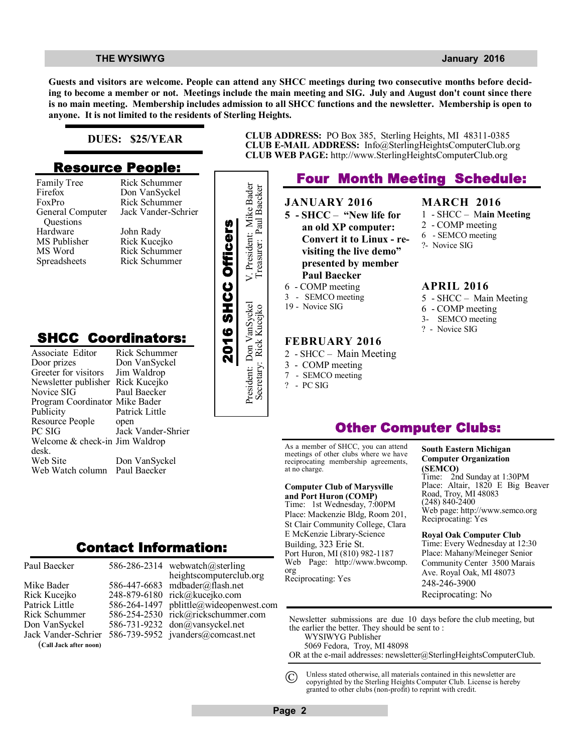### **THE WYSIWYG** *CONSUMISTION CONSUMISTION CONSUMING <b><i>CONSUMISTION CONSUMISTION CONSUMISTION CONSUMISTION CONSUMISTION*

**MARCH 2016**

2 - COMP meeting 6 - SEMCO meeting ?- Novice SIG

**APRIL 2016**

6 - COMP meeting 3- SEMCO meeting ? - Novice SIG

1 - SHCC – M**ain Meeting**

5 - SHCC – Main Meeting

**Guests and visitors are welcome. People can attend any SHCC meetings during two consecutive months before deciding to become a member or not. Meetings include the main meeting and SIG. July and August don't count since there is no main meeting. Membership includes admission to all SHCC functions and the newsletter. Membership is open to anyone. It is not limited to the residents of Sterling Heights.**

### **DUES: \$25/YEAR**

## **Resource People:**

Family Tree Firefox FoxPro General Computer Questions Hardware MS Publisher MS Word Spreadsheets

Rick Schummer

## **SHCC Coordinators:**

| гашну тес<br>Firefox<br>FoxPro<br>General Computer<br>Questions<br>Hardware<br>MS Publisher<br>MS Word<br>Spreadsheets                                       | <b>INIUN OUTBELLING</b><br>Don VanSyckel<br>Rick Schummer<br>Jack Vander-Schrier<br>John Rady<br>Rick Kucejko<br>Rick Schummer<br>Rick Schummer |                    | President: Mike Bader    |
|--------------------------------------------------------------------------------------------------------------------------------------------------------------|-------------------------------------------------------------------------------------------------------------------------------------------------|--------------------|--------------------------|
| <b>SHCC Coordinators:</b><br>Associate Editor<br>Door prizes<br>Greeter for visitors<br>Newsletter publisher<br>Novice SIG<br>Program Coordinator Mike Bader | Rick Schummer<br>Don VanSyckel<br>Jim Waldrop<br>Rick Kucejko<br>Paul Baecker                                                                   | 2016 SHCC Officers | President: Don VanSyckel |
| Publicity<br>Resource People<br>PC SIG<br>Welcome & check-in Jim Waldrop<br>desk.<br>Web Site<br>Web Watch column                                            | Patrick Little<br>open<br>Jack Vander-Shrier<br>Don VanSyckel<br>Paul Baecker                                                                   |                    |                          |
|                                                                                                                                                              | Contact Information:                                                                                                                            |                    |                          |

Paul Baecker Mike Bader

Rick Kucejko Patrick Little Rick Schummer Don VanSyckel Jack Vander-Schrier (**Call Jack after noon)**

586-286-2314 webwatch@sterling 586-447-6683 mdbader@flash.net 248-879-6180 rick@kucejko.com 586-264-1497 pblittle@wideopenwest.com 586-254-2530 rick@rickschummer.com 586-731-9232 don@vansyckel.net 586-739-5952 jvanders@comcast.net heightscomputerclub.org

**CLUB ADDRESS:** PO Box 385, Sterling Heights, MI 48311-0385 **CLUB E-MAIL ADDRESS:** Info@SterlingHeightsComputerClub.org **CLUB WEB PAGE:** http://www.SterlingHeightsComputerClub.org

## **Four Month Meeting Schedule:**

**JANUARY 2016 5 - SHCC** – **"New life for an old XP computer: Convert it to Linux - revisiting the live demo" presented by member Paul Baecker** 6 - COMP meeting

3 - SEMCO meeting

Secretary: Rick Kucejko Treasurer: Paul Baecker

19 - Novice SIG

### **FEBRUARY 2016**

- 2 SHCC Main Meeting
- 3 COMP meeting
- 7 SEMCO meeting
- ? PC SIG

## **Other Computer Clubs:**

As a member of SHCC, you can attend meetings of other clubs where we have reciprocating membership agreements, at no charge.

### **Computer Club of Marysville**

**and Port Huron (COMP)** Time: 1st Wednesday, 7:00PM Place: Mackenzie Bldg, Room 201, St Clair Community College, Clara E McKenzie Library-Science Building, 323 Erie St. Port Huron, MI (810) 982-1187 Web Page: http://www.bwcomp. org Reciprocating: Yes

### **South Eastern Michigan Computer Organization (SEMCO)** Time: 2nd Sunday at 1:30PM

Place: Altair, 1820 E Big Beaver Road, Troy, MI 48083 (248) 840-2400 Web page: http://www.semco.org Reciprocating: Yes

**Royal Oak Computer Club** Time: Every Wednesday at 12:30 Place: Mahany/Meineger Senior Community Center 3500 Marais Ave. Royal Oak, MI 48073 248-246-3900 Reciprocating: No

Newsletter submissions are due 10 days before the club meeting, but the earlier the better. They should be sent to : WYSIWYG Publisher

5069 Fedora, Troy, MI 48098

OR at the e-mail addresses: newsletter@SterlingHeightsComputerClub.

Unless stated otherwise, all materials contained in this newsletter are copyrighted by the Sterling Heights Computer Club. License is hereby granted to other clubs (non-profit) to reprint with credit.  $\odot$ 

**Page 2**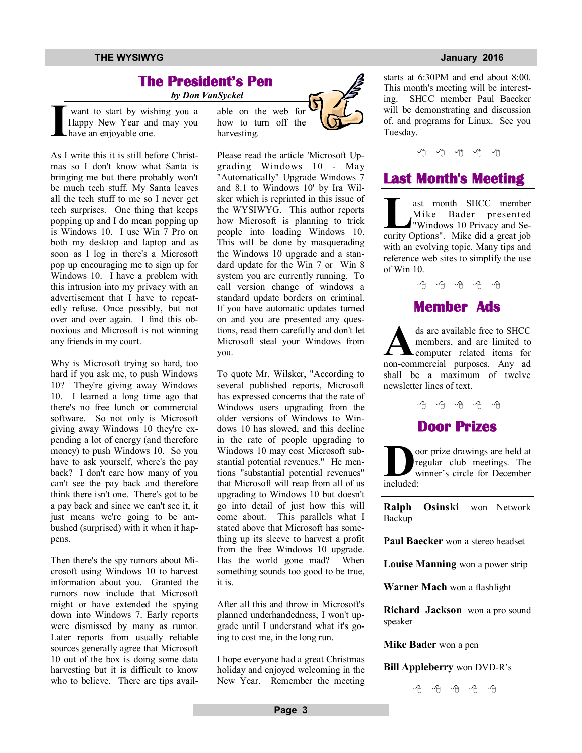### **THE WYSIWYG January 2016**

## **The President's Pen**

 *by Don VanSyckel*

**I** want to start by wishing you a Happy New Year and may you have an enjoyable one.

As I write this it is still before Christmas so I don't know what Santa is bringing me but there probably won't be much tech stuff. My Santa leaves all the tech stuff to me so I never get tech surprises. One thing that keeps popping up and I do mean popping up is Windows 10. I use Win 7 Pro on both my desktop and laptop and as soon as I log in there's a Microsoft pop up encouraging me to sign up for Windows 10. I have a problem with this intrusion into my privacy with an advertisement that I have to repeatedly refuse. Once possibly, but not over and over again. I find this obnoxious and Microsoft is not winning any friends in my court.

Why is Microsoft trying so hard, too hard if you ask me, to push Windows 10? They're giving away Windows 10. I learned a long time ago that there's no free lunch or commercial software. So not only is Microsoft giving away Windows 10 they're expending a lot of energy (and therefore money) to push Windows 10. So you have to ask yourself, where's the pay back? I don't care how many of you can't see the pay back and therefore think there isn't one. There's got to be a pay back and since we can't see it, it just means we're going to be ambushed (surprised) with it when it happens.

Then there's the spy rumors about Microsoft using Windows 10 to harvest information about you. Granted the rumors now include that Microsoft might or have extended the spying down into Windows 7. Early reports were dismissed by many as rumor. Later reports from usually reliable sources generally agree that Microsoft 10 out of the box is doing some data harvesting but it is difficult to know who to believe. There are tips available on the web for how to turn off the harvesting.

Please read the article 'Microsoft Upgrading Windows 10 - May "Automatically" Upgrade Windows 7 and 8.1 to Windows 10' by Ira Wilsker which is reprinted in this issue of the WYSIWYG. This author reports how Microsoft is planning to trick people into loading Windows 10. This will be done by masquerading the Windows 10 upgrade and a standard update for the Win 7 or Win 8 system you are currently running. To call version change of windows a standard update borders on criminal. If you have automatic updates turned on and you are presented any questions, read them carefully and don't let Microsoft steal your Windows from you.

To quote Mr. Wilsker, "According to several published reports, Microsoft has expressed concerns that the rate of Windows users upgrading from the older versions of Windows to Windows 10 has slowed, and this decline in the rate of people upgrading to Windows 10 may cost Microsoft substantial potential revenues." He mentions "substantial potential revenues" that Microsoft will reap from all of us upgrading to Windows 10 but doesn't go into detail of just how this will come about. This parallels what I stated above that Microsoft has something up its sleeve to harvest a profit from the free Windows 10 upgrade. Has the world gone mad? When something sounds too good to be true, it is.

After all this and throw in Microsoft's planned underhandedness, I won't upgrade until I understand what it's going to cost me, in the long run.

I hope everyone had a great Christmas holiday and enjoyed welcoming in the New Year. Remember the meeting starts at 6:30PM and end about 8:00. This month's meeting will be interesting. SHCC member Paul Baecker will be demonstrating and discussion of. and programs for Linux. See you Tuesday.



## **Last Month's Meeting**

**Leading SHCC** member<br>
Mike Bader presented<br>
"Windows 10 Privacy and Se-<br>
curity Options". Mike did a great job ast month SHCC member Mike Bader presented "Windows 10 Privacy and Sewith an evolving topic. Many tips and reference web sites to simplify the use of Win 10.



**A** ds are available free to SHCC members, and are limited to computer related items for non-commercial purposes. Any ad ds are available free to SHCC members, and are limited to computer related items for shall be a maximum of twelve newsletter lines of text.

A A A A A



**D** included: oor prize drawings are held at regular club meetings. The winner's circle for December

**Ralph Osinski** won Network **Backup** 

**Paul Baecker** won a stereo headset

**Louise Manning** won a power strip

**Warner Mach** won a flashlight

**Richard Jackson** won a pro sound speaker

**Mike Bader** won a pen

### **Bill Appleberry** won DVD-R's

西 西 西 西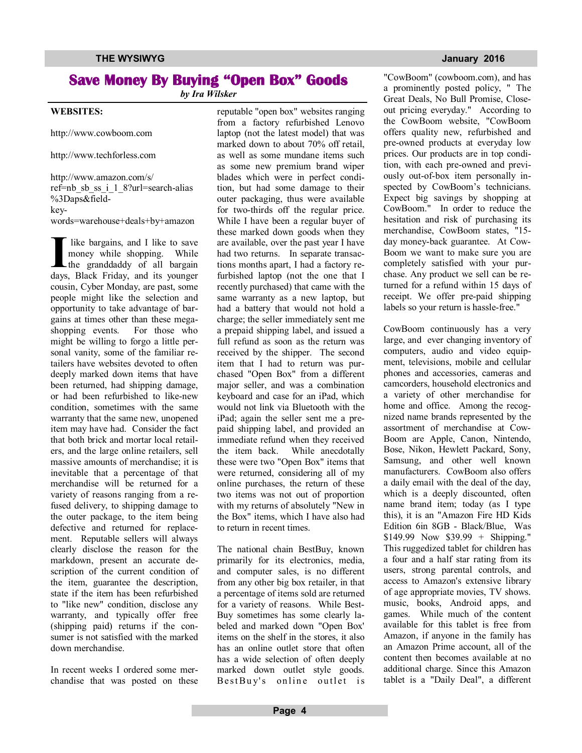## **Save Money By Buying "Open Box" Goods**

*by Ira Wilsker*

### **WEBSITES:**

http://www.cowboom.com

http://www.techforless.com

http://www.amazon.com/s/ ref=nb\_sb\_ss\_i\_1\_8?url=search-alias %3Daps&fieldkeywords=warehouse+deals+by+amazon

**I** like bargains, and I like to save money while shopping. While the granddaddy of all bargain days, Black Friday, and its younger like bargains, and I like to save money while shopping. While the granddaddy of all bargain cousin, Cyber Monday, are past, some people might like the selection and opportunity to take advantage of bargains at times other than these megashopping events. For those who might be willing to forgo a little personal vanity, some of the familiar retailers have websites devoted to often deeply marked down items that have been returned, had shipping damage, or had been refurbished to like-new condition, sometimes with the same warranty that the same new, unopened item may have had. Consider the fact that both brick and mortar local retailers, and the large online retailers, sell massive amounts of merchandise; it is inevitable that a percentage of that merchandise will be returned for a variety of reasons ranging from a refused delivery, to shipping damage to the outer package, to the item being defective and returned for replacement. Reputable sellers will always clearly disclose the reason for the markdown, present an accurate description of the current condition of the item, guarantee the description, state if the item has been refurbished to "like new" condition, disclose any warranty, and typically offer free (shipping paid) returns if the consumer is not satisfied with the marked down merchandise.

In recent weeks I ordered some merchandise that was posted on these reputable "open box" websites ranging from a factory refurbished Lenovo laptop (not the latest model) that was marked down to about 70% off retail, as well as some mundane items such as some new premium brand wiper blades which were in perfect condition, but had some damage to their outer packaging, thus were available for two-thirds off the regular price. While I have been a regular buyer of these marked down goods when they are available, over the past year I have had two returns. In separate transactions months apart, I had a factory refurbished laptop (not the one that I recently purchased) that came with the same warranty as a new laptop, but had a battery that would not hold a charge; the seller immediately sent me a prepaid shipping label, and issued a full refund as soon as the return was received by the shipper. The second item that I had to return was purchased "Open Box" from a different major seller, and was a combination keyboard and case for an iPad, which would not link via Bluetooth with the iPad; again the seller sent me a prepaid shipping label, and provided an immediate refund when they received the item back. While anecdotally these were two "Open Box" items that were returned, considering all of my online purchases, the return of these two items was not out of proportion with my returns of absolutely "New in the Box" items, which I have also had to return in recent times.

The national chain BestBuy, known primarily for its electronics, media, and computer sales, is no different from any other big box retailer, in that a percentage of items sold are returned for a variety of reasons. While Best-Buy sometimes has some clearly labeled and marked down "Open Box' items on the shelf in the stores, it also has an online outlet store that often has a wide selection of often deeply marked down outlet style goods. BestBuy's online outlet is

"CowBoom" (cowboom.com), and has a prominently posted policy, " The Great Deals, No Bull Promise, Closeout pricing everyday." According to the CowBoom website, "CowBoom offers quality new, refurbished and pre-owned products at everyday low prices. Our products are in top condition, with each pre-owned and previously out-of-box item personally inspected by CowBoom's technicians. Expect big savings by shopping at CowBoom." In order to reduce the hesitation and risk of purchasing its merchandise, CowBoom states, "15 day money-back guarantee. At Cow-Boom we want to make sure you are completely satisfied with your purchase. Any product we sell can be returned for a refund within 15 days of receipt. We offer pre-paid shipping labels so your return is hassle-free."

CowBoom continuously has a very large, and ever changing inventory of computers, audio and video equipment, televisions, mobile and cellular phones and accessories, cameras and camcorders, household electronics and a variety of other merchandise for home and office. Among the recognized name brands represented by the assortment of merchandise at Cow-Boom are Apple, Canon, Nintendo, Bose, Nikon, Hewlett Packard, Sony, Samsung, and other well known manufacturers. CowBoom also offers a daily email with the deal of the day, which is a deeply discounted, often name brand item; today (as I type this), it is an "Amazon Fire HD Kids Edition 6in 8GB - Black/Blue, Was  $$149.99$  Now  $$39.99 + Shipping."$ This ruggedized tablet for children has a four and a half star rating from its users, strong parental controls, and access to Amazon's extensive library of age appropriate movies, TV shows. music, books, Android apps, and games. While much of the content available for this tablet is free from Amazon, if anyone in the family has an Amazon Prime account, all of the content then becomes available at no additional charge. Since this Amazon tablet is a "Daily Deal", a different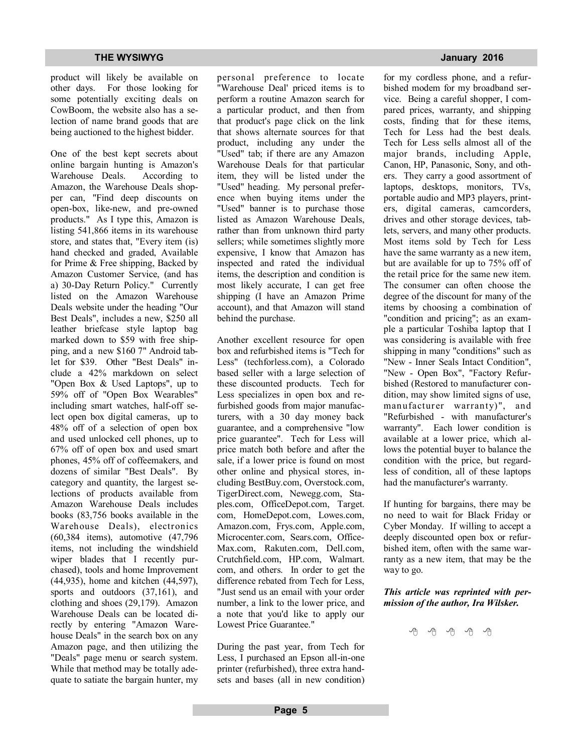product will likely be available on other days. For those looking for some potentially exciting deals on CowBoom, the website also has a selection of name brand goods that are being auctioned to the highest bidder.

One of the best kept secrets about online bargain hunting is Amazon's Warehouse Deals. According to Amazon, the Warehouse Deals shopper can, "Find deep discounts on open-box, like-new, and pre-owned products." As I type this, Amazon is listing 541,866 items in its warehouse store, and states that, "Every item (is) hand checked and graded, Available for Prime & Free shipping, Backed by Amazon Customer Service, (and has a) 30-Day Return Policy." Currently listed on the Amazon Warehouse Deals website under the heading "Our Best Deals", includes a new, \$250 all leather briefcase style laptop bag marked down to \$59 with free shipping, and a new \$160 7" Android tablet for \$39. Other "Best Deals" include a 42% markdown on select "Open Box & Used Laptops", up to 59% off of "Open Box Wearables" including smart watches, half-off select open box digital cameras, up to 48% off of a selection of open box and used unlocked cell phones, up to 67% off of open box and used smart phones, 45% off of coffeemakers, and dozens of similar "Best Deals". By category and quantity, the largest selections of products available from Amazon Warehouse Deals includes books (83,756 books available in the Warehouse Deals), electronics (60,384 items), automotive (47,796 items, not including the windshield wiper blades that I recently purchased), tools and home Improvement (44,935), home and kitchen (44,597), sports and outdoors (37,161), and clothing and shoes (29,179). Amazon Warehouse Deals can be located directly by entering "Amazon Warehouse Deals" in the search box on any Amazon page, and then utilizing the "Deals" page menu or search system. While that method may be totally adequate to satiate the bargain hunter, my personal preference to locate "Warehouse Deal' priced items is to perform a routine Amazon search for a particular product, and then from that product's page click on the link that shows alternate sources for that product, including any under the "Used" tab; if there are any Amazon Warehouse Deals for that particular item, they will be listed under the "Used" heading. My personal preference when buying items under the "Used" banner is to purchase those listed as Amazon Warehouse Deals, rather than from unknown third party sellers; while sometimes slightly more expensive, I know that Amazon has inspected and rated the individual items, the description and condition is most likely accurate, I can get free shipping (I have an Amazon Prime account), and that Amazon will stand behind the purchase.

Another excellent resource for open box and refurbished items is "Tech for Less" (techforless.com), a Colorado based seller with a large selection of these discounted products. Tech for Less specializes in open box and refurbished goods from major manufacturers, with a 30 day money back guarantee, and a comprehensive "low price guarantee". Tech for Less will price match both before and after the sale, if a lower price is found on most other online and physical stores, including BestBuy.com, Overstock.com, TigerDirect.com, Newegg.com, Staples.com, OfficeDepot.com, Target. com, HomeDepot.com, Lowes.com, Amazon.com, Frys.com, Apple.com, Microcenter.com, Sears.com, Office-Max.com, Rakuten.com, Dell.com, Crutchfield.com, HP.com, Walmart. com, and others. In order to get the difference rebated from Tech for Less, "Just send us an email with your order number, a link to the lower price, and a note that you'd like to apply our Lowest Price Guarantee."

During the past year, from Tech for Less, I purchased an Epson all-in-one printer (refurbished), three extra handsets and bases (all in new condition)

for my cordless phone, and a refurbished modem for my broadband service. Being a careful shopper, I compared prices, warranty, and shipping costs, finding that for these items, Tech for Less had the best deals. Tech for Less sells almost all of the major brands, including Apple, Canon, HP, Panasonic, Sony, and others. They carry a good assortment of laptops, desktops, monitors, TVs, portable audio and MP3 players, printers, digital cameras, camcorders, drives and other storage devices, tab-

lets, servers, and many other products. Most items sold by Tech for Less have the same warranty as a new item, but are available for up to 75% off of the retail price for the same new item. The consumer can often choose the degree of the discount for many of the items by choosing a combination of "condition and pricing"; as an example a particular Toshiba laptop that I was considering is available with free shipping in many "conditions" such as "New - Inner Seals Intact Condition", "New - Open Box", "Factory Refurbished (Restored to manufacturer condition, may show limited signs of use, manufacturer warranty)", and "Refurbished - with manufacturer's warranty". Each lower condition is available at a lower price, which allows the potential buyer to balance the condition with the price, but regardless of condition, all of these laptops had the manufacturer's warranty.

If hunting for bargains, there may be no need to wait for Black Friday or Cyber Monday. If willing to accept a deeply discounted open box or refurbished item, often with the same warranty as a new item, that may be the way to go.

### *This article was reprinted with permission of the author, Ira Wilsker.*

有 有 有 有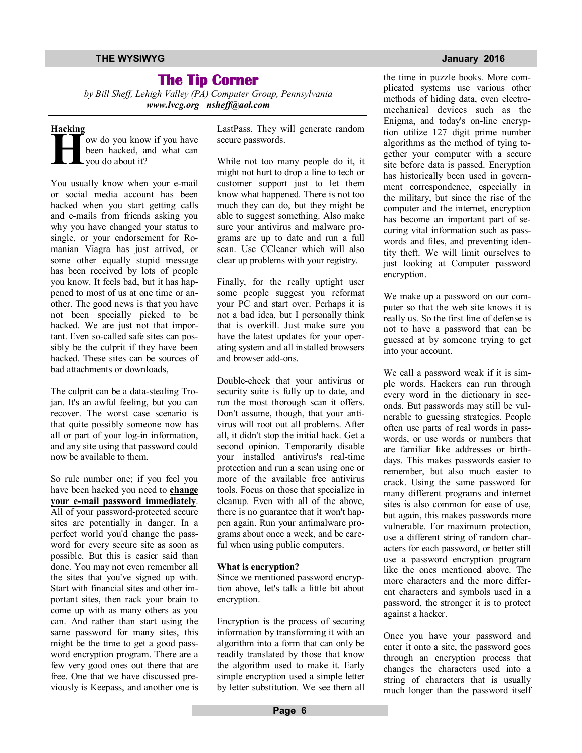## **The Tip Corner**

*by Bill Sheff, Lehigh Valley (PA) Computer Group, Pennsylvania www.lvcg.org nsheff@aol.com*

### **Hacking**

**H** ow do you know if you have been hacked, and what can you do about it?

You usually know when your e-mail or social media account has been hacked when you start getting calls and e-mails from friends asking you why you have changed your status to single, or your endorsement for Romanian Viagra has just arrived, or some other equally stupid message has been received by lots of people you know. It feels bad, but it has happened to most of us at one time or another. The good news is that you have not been specially picked to be hacked. We are just not that important. Even so-called safe sites can possibly be the culprit if they have been hacked. These sites can be sources of bad attachments or downloads,

The culprit can be a data-stealing Trojan. It's an awful feeling, but you can recover. The worst case scenario is that quite possibly someone now has all or part of your log-in information, and any site using that password could now be available to them.

So rule number one; if you feel you have been hacked you need to **change your e-mail password immediately**. All of your password-protected secure sites are potentially in danger. In a perfect world you'd change the password for every secure site as soon as possible. But this is easier said than done. You may not even remember all the sites that you've signed up with. Start with financial sites and other important sites, then rack your brain to come up with as many others as you can. And rather than start using the same password for many sites, this might be the time to get a good password encryption program. There are a few very good ones out there that are free. One that we have discussed previously is Keepass, and another one is LastPass. They will generate random secure passwords.

While not too many people do it, it might not hurt to drop a line to tech or customer support just to let them know what happened. There is not too much they can do, but they might be able to suggest something. Also make sure your antivirus and malware programs are up to date and run a full scan. Use CCleaner which will also clear up problems with your registry.

Finally, for the really uptight user some people suggest you reformat your PC and start over. Perhaps it is not a bad idea, but I personally think that is overkill. Just make sure you have the latest updates for your operating system and all installed browsers and browser add-ons.

Double-check that your antivirus or security suite is fully up to date, and run the most thorough scan it offers. Don't assume, though, that your antivirus will root out all problems. After all, it didn't stop the initial hack. Get a second opinion. Temporarily disable your installed antivirus's real-time protection and run a scan using one or more of the available free antivirus tools. Focus on those that specialize in cleanup. Even with all of the above, there is no guarantee that it won't happen again. Run your antimalware programs about once a week, and be careful when using public computers.

### **What is encryption?**

Since we mentioned password encryption above, let's talk a little bit about encryption.

Encryption is the process of securing information by transforming it with an algorithm into a form that can only be readily translated by those that know the algorithm used to make it. Early simple encryption used a simple letter by letter substitution. We see them all

the time in puzzle books. More complicated systems use various other methods of hiding data, even electromechanical devices such as the Enigma, and today's on-line encryption utilize 127 digit prime number algorithms as the method of tying together your computer with a secure site before data is passed. Encryption has historically been used in government correspondence, especially in the military, but since the rise of the computer and the internet, encryption has become an important part of securing vital information such as passwords and files, and preventing identity theft. We will limit ourselves to just looking at Computer password encryption.

We make up a password on our computer so that the web site knows it is really us. So the first line of defense is not to have a password that can be guessed at by someone trying to get into your account.

We call a password weak if it is simple words. Hackers can run through every word in the dictionary in seconds. But passwords may still be vulnerable to guessing strategies. People often use parts of real words in passwords, or use words or numbers that are familiar like addresses or birthdays. This makes passwords easier to remember, but also much easier to crack. Using the same password for many different programs and internet sites is also common for ease of use, but again, this makes passwords more vulnerable. For maximum protection, use a different string of random characters for each password, or better still use a password encryption program like the ones mentioned above. The more characters and the more different characters and symbols used in a password, the stronger it is to protect against a hacker.

Once you have your password and enter it onto a site, the password goes through an encryption process that changes the characters used into a string of characters that is usually much longer than the password itself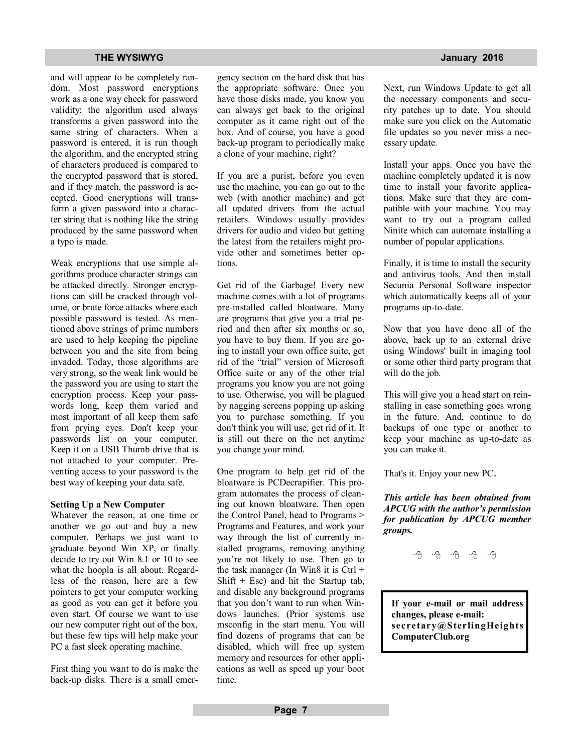### **THE WYSIWYG January 2016**

and will appear to be completely random. Most password encryptions work as a one way check for password validity: the algorithm used always transforms a given password into the same string of characters. When a password is entered, it is run though the algorithm, and the encrypted string of characters produced is compared to the encrypted password that is stored, and if they match, the password is accepted. Good encryptions will transform a given password into a character string that is nothing like the string produced by the same password when a typo is made.

Weak encryptions that use simple algorithms produce character strings can be attacked directly. Stronger encryptions can still be cracked through volume, or brute force attacks where each possible password is tested. As mentioned above strings of prime numbers are used to help keeping the pipeline between you and the site from being invaded. Today, those algorithms are very strong, so the weak link would be the password you are using to start the encryption process. Keep your passwords long, keep them varied and most important of all keep them safe from prying eyes. Don't keep your passwords list on your computer. Keep it on a USB Thumb drive that is not attached to your computer. Preventing access to your password is the best way of keeping your data safe.

### **Setting Up a New Computer**

Whatever the reason, at one time or another we go out and buy a new computer. Perhaps we just want to graduate beyond Win XP, or finally decide to try out Win 8.1 or 10 to see what the hoopla is all about. Regardless of the reason, here are a few pointers to get your computer working as good as you can get it before you even start. Of course we want to use our new computer right out of the box, but these few tips will help make your PC a fast sleek operating machine.

First thing you want to do is make the back-up disks. There is a small emergency section on the hard disk that has the appropriate software. Once you have those disks made, you know you can always get back to the original computer as it came right out of the box. And of course, you have a good back-up program to periodically make a clone of your machine, right?

If you are a purist, before you even use the machine, you can go out to the web (with another machine) and get all updated drivers from the actual retailers. Windows usually provides drivers for audio and video but getting the latest from the retailers might provide other and sometimes better options.

Get rid of the Garbage! Every new machine comes with a lot of programs pre-installed called bloatware. Many are programs that give you a trial period and then after six months or so, you have to buy them. If you are going to install your own office suite, get rid of the "trial" version of Microsoft Office suite or any of the other trial programs you know you are not going to use. Otherwise, you will be plagued by nagging screens popping up asking you to purchase something. If you don't think you will use, get rid of it. It is still out there on the net anytime you change your mind.

One program to help get rid of the bloatware is PCDecrapifier. This program automates the process of cleaning out known bloatware. Then open the Control Panel, head to Programs > Programs and Features, and work your way through the list of currently installed programs, removing anything you're not likely to use. Then go to the task manager (In Win8 it is  $Ctrl +$ Shift  $+$  Esc) and hit the Startup tab, and disable any background programs that you don't want to run when Windows launches. (Prior systems use msconfig in the start menu. You will find dozens of programs that can be disabled, which will free up system memory and resources for other applications as well as speed up your boot time.

Next, run Windows Update to get all the necessary components and security patches up to date. You should make sure you click on the Automatic file updates so you never miss a necessary update.

Install your apps. Once you have the machine completely updated it is now time to install your favorite applications. Make sure that they are compatible with your machine. You may want to try out a program called Ninite which can automate installing a number of popular applications.

Finally, it is time to install the security and antivirus tools. And then install Secunia Personal Software inspector which automatically keeps all of your programs up-to-date.

Now that you have done all of the above, back up to an external drive using Windows' built in imaging tool or some other third party program that will do the job.

This will give you a head start on reinstalling in case something goes wrong in the future. And, continue to do backups of one type or another to keep your machine as up-to-date as you can make it.

That's it. Enjoy your new PC.

*This article has been obtained from APCUG with the author's permission for publication by APCUG member groups.*

 $A$   $A$   $A$   $A$   $A$ 

**If your e-mail or mail address changes, please e-mail: secretary@SterlingHeights ComputerClub.org**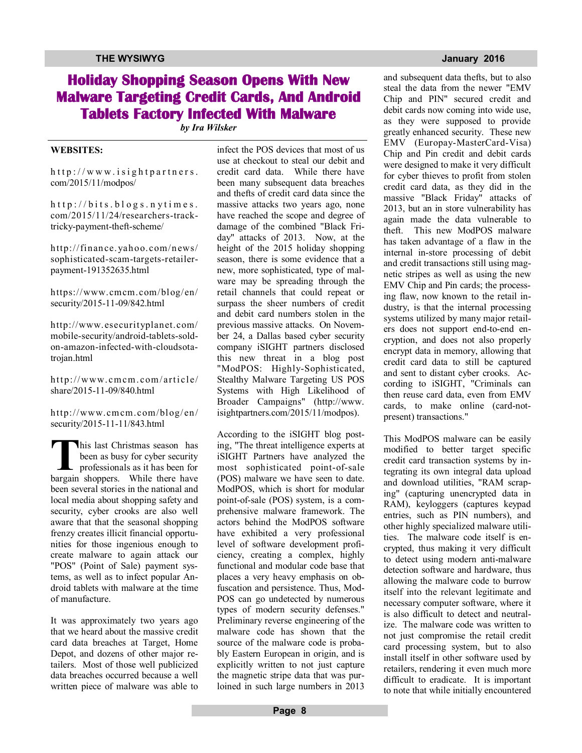## **Holiday Shopping Season Opens With New Malware Targeting Credit Cards, And Android Tablets Factory Infected With Malware**

*by Ira Wilsker*

### **WEBSITES:**

 $http://www.isightpartners.$ com/2015/11/modpos/

 $h$ ttp://bits.blogs.nytimes. com/2015/11/24/researchers-tracktricky-payment-theft-scheme/

http://finance. yahoo.com/news/ sophisticated-scam-targets-retailerpayment-191352635.html

https://www.cmcm.com/blog/en/ security/2015-11-09/842.html

http://www.esecurityplanet.com/ mobile-security/android-tablets-soldon-amazon-infected-with-cloudsotatrojan.html

http://www.cmcm.com/article/ share/2015-11-09/840.html

http://www.cmcm.com/blog/en/ security/2015-11-11/843.html

This last Christmas season has<br>been as busy for cyber security<br>professionals as it has been for<br>bargain shoppers. While there have his last Christmas season has been as busy for cyber security  $\overline{\phantom{a}}$  professionals as it has been for been several stories in the national and local media about shopping safety and security, cyber crooks are also well aware that that the seasonal shopping frenzy creates illicit financial opportunities for those ingenious enough to create malware to again attack our "POS" (Point of Sale) payment systems, as well as to infect popular Android tablets with malware at the time of manufacture.

It was approximately two years ago that we heard about the massive credit card data breaches at Target, Home Depot, and dozens of other major retailers. Most of those well publicized data breaches occurred because a well written piece of malware was able to infect the POS devices that most of us use at checkout to steal our debit and credit card data. While there have been many subsequent data breaches and thefts of credit card data since the massive attacks two years ago, none have reached the scope and degree of damage of the combined "Black Friday" attacks of 2013. Now, at the height of the 2015 holiday shopping season, there is some evidence that a new, more sophisticated, type of malware may be spreading through the retail channels that could repeat or surpass the sheer numbers of credit and debit card numbers stolen in the previous massive attacks. On November 24, a Dallas based cyber security company iSIGHT partners disclosed this new threat in a blog post "ModPOS: Highly-Sophisticated, Stealthy Malware Targeting US POS Systems with High Likelihood of Broader Campaigns" (http://www. isightpartners.com/2015/11/modpos).

According to the iSIGHT blog posting, "The threat intelligence experts at iSIGHT Partners have analyzed the most sophisticated point-of-sale (POS) malware we have seen to date. ModPOS, which is short for modular point-of-sale (POS) system, is a comprehensive malware framework. The actors behind the ModPOS software have exhibited a very professional level of software development proficiency, creating a complex, highly functional and modular code base that places a very heavy emphasis on obfuscation and persistence. Thus, Mod-POS can go undetected by numerous types of modern security defenses." Preliminary reverse engineering of the malware code has shown that the source of the malware code is probably Eastern European in origin, and is explicitly written to not just capture the magnetic stripe data that was purloined in such large numbers in 2013

and subsequent data thefts, but to also steal the data from the newer "EMV Chip and PIN" secured credit and debit cards now coming into wide use, as they were supposed to provide greatly enhanced security. These new EMV (Europay-MasterCard-Visa) Chip and Pin credit and debit cards were designed to make it very difficult for cyber thieves to profit from stolen credit card data, as they did in the massive "Black Friday" attacks of 2013, but an in store vulnerability has again made the data vulnerable to theft. This new ModPOS malware has taken advantage of a flaw in the internal in-store processing of debit and credit transactions still using magnetic stripes as well as using the new EMV Chip and Pin cards; the processing flaw, now known to the retail industry, is that the internal processing systems utilized by many major retailers does not support end-to-end encryption, and does not also properly encrypt data in memory, allowing that credit card data to still be captured and sent to distant cyber crooks. According to iSIGHT, "Criminals can then reuse card data, even from EMV cards, to make online (card-notpresent) transactions."

This ModPOS malware can be easily modified to better target specific credit card transaction systems by integrating its own integral data upload and download utilities, "RAM scraping" (capturing unencrypted data in RAM), keyloggers (captures keypad entries, such as PIN numbers), and other highly specialized malware utilities. The malware code itself is encrypted, thus making it very difficult to detect using modern anti-malware detection software and hardware, thus allowing the malware code to burrow itself into the relevant legitimate and necessary computer software, where it is also difficult to detect and neutralize. The malware code was written to not just compromise the retail credit card processing system, but to also install itself in other software used by retailers, rendering it even much more difficult to eradicate. It is important to note that while initially encountered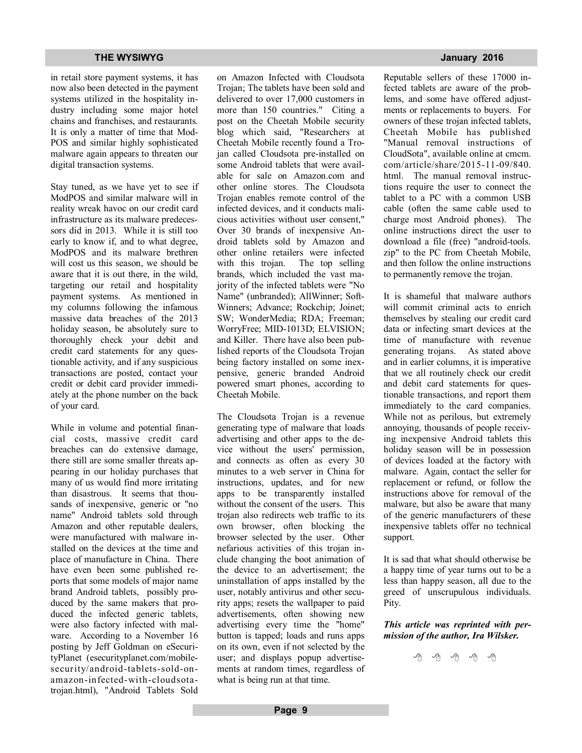in retail store payment systems, it has now also been detected in the payment systems utilized in the hospitality industry including some major hotel chains and franchises, and restaurants. It is only a matter of time that Mod-POS and similar highly sophisticated malware again appears to threaten our digital transaction systems.

Stay tuned, as we have yet to see if ModPOS and similar malware will in reality wreak havoc on our credit card infrastructure as its malware predecessors did in 2013. While it is still too early to know if, and to what degree, ModPOS and its malware brethren will cost us this season, we should be aware that it is out there, in the wild, targeting our retail and hospitality payment systems. As mentioned in my columns following the infamous massive data breaches of the 2013 holiday season, be absolutely sure to thoroughly check your debit and credit card statements for any questionable activity, and if any suspicious transactions are posted, contact your credit or debit card provider immediately at the phone number on the back of your card.

While in volume and potential financial costs, massive credit card breaches can do extensive damage, there still are some smaller threats appearing in our holiday purchases that many of us would find more irritating than disastrous. It seems that thousands of inexpensive, generic or "no name" Android tablets sold through Amazon and other reputable dealers, were manufactured with malware installed on the devices at the time and place of manufacture in China. There have even been some published reports that some models of major name brand Android tablets, possibly produced by the same makers that produced the infected generic tablets, were also factory infected with malware. According to a November 16 posting by Jeff Goldman on eSecurityPlanet (esecurityplanet.com/mobilesecurity/android-tablets-sold-onamazon-infected-with-cloudsotatrojan.html), "Android Tablets Sold

on Amazon Infected with Cloudsota Trojan; The tablets have been sold and delivered to over 17,000 customers in more than 150 countries." Citing a post on the Cheetah Mobile security blog which said, "Researchers at Cheetah Mobile recently found a Trojan called Cloudsota pre-installed on some Android tablets that were available for sale on Amazon.com and other online stores. The Cloudsota Trojan enables remote control of the infected devices, and it conducts malicious activities without user consent," Over 30 brands of inexpensive Android tablets sold by Amazon and other online retailers were infected with this trojan. The top selling brands, which included the vast majority of the infected tablets were "No Name" (unbranded); AllWinner; Soft-Winners; Advance; Rockchip; Joinet; SW; WonderMedia; RDA; Freeman; WorryFree; MID-1013D; ELVISION; and Killer. There have also been published reports of the Cloudsota Trojan being factory installed on some inexpensive, generic branded Android powered smart phones, according to Cheetah Mobile.

The Cloudsota Trojan is a revenue generating type of malware that loads advertising and other apps to the device without the users' permission, and connects as often as every 30 minutes to a web server in China for instructions, updates, and for new apps to be transparently installed without the consent of the users. This trojan also redirects web traffic to its own browser, often blocking the browser selected by the user. Other nefarious activities of this trojan include changing the boot animation of the device to an advertisement; the uninstallation of apps installed by the user, notably antivirus and other security apps; resets the wallpaper to paid advertisements, often showing new advertising every time the "home" button is tapped; loads and runs apps on its own, even if not selected by the user; and displays popup advertisements at random times, regardless of what is being run at that time.

Reputable sellers of these 17000 infected tablets are aware of the problems, and some have offered adjustments or replacements to buyers. For owners of these trojan infected tablets, Cheetah Mobile has published "Manual removal instructions of CloudSota", available online at cmcm. com/article/share/2015-11-09/840. html. The manual removal instructions require the user to connect the tablet to a PC with a common USB cable (often the same cable used to charge most Android phones). The online instructions direct the user to download a file (free) "android-tools. zip" to the PC from Cheetah Mobile, and then follow the online instructions to permanently remove the trojan.

It is shameful that malware authors will commit criminal acts to enrich themselves by stealing our credit card data or infecting smart devices at the time of manufacture with revenue generating trojans. As stated above and in earlier columns, it is imperative that we all routinely check our credit and debit card statements for questionable transactions, and report them immediately to the card companies. While not as perilous, but extremely annoying, thousands of people receiving inexpensive Android tablets this holiday season will be in possession of devices loaded at the factory with malware. Again, contact the seller for replacement or refund, or follow the instructions above for removal of the malware, but also be aware that many of the generic manufacturers of these inexpensive tablets offer no technical support.

It is sad that what should otherwise be a happy time of year turns out to be a less than happy season, all due to the greed of unscrupulous individuals. Pity.

*This article was reprinted with permission of the author, Ira Wilsker.*

一个 一个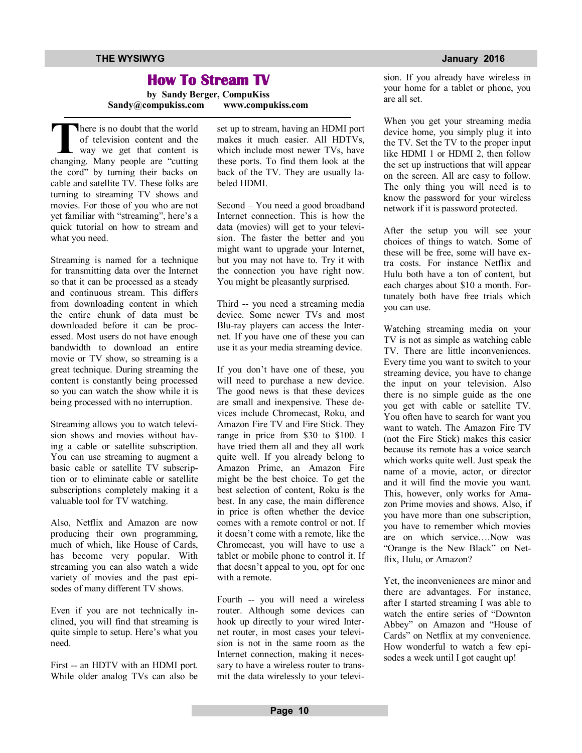## **How To Stream TV**

**by Sandy Berger, CompuKiss Sandy@compukiss.com www.compukiss.com**

There is no doubt that the world<br>
of television content and the<br>
way we get that content is<br>
changing. Many people are "cutting here is no doubt that the world of television content and the way we get that content is the cord" by turning their backs on cable and satellite TV. These folks are turning to streaming TV shows and movies. For those of you who are not yet familiar with "streaming", here's a quick tutorial on how to stream and what you need.

Streaming is named for a technique for transmitting data over the Internet so that it can be processed as a steady and continuous stream. This differs from downloading content in which the entire chunk of data must be downloaded before it can be processed. Most users do not have enough bandwidth to download an entire movie or TV show, so streaming is a great technique. During streaming the content is constantly being processed so you can watch the show while it is being processed with no interruption.

Streaming allows you to watch television shows and movies without having a cable or satellite subscription. You can use streaming to augment a basic cable or satellite TV subscription or to eliminate cable or satellite subscriptions completely making it a valuable tool for TV watching.

Also, Netflix and Amazon are now producing their own programming, much of which, like House of Cards, has become very popular. With streaming you can also watch a wide variety of movies and the past episodes of many different TV shows.

Even if you are not technically inclined, you will find that streaming is quite simple to setup. Here's what you need.

First -- an HDTV with an HDMI port. While older analog TVs can also be set up to stream, having an HDMI port makes it much easier. All HDTVs, which include most newer TVs, have these ports. To find them look at the back of the TV. They are usually labeled HDMI.

Second – You need a good broadband Internet connection. This is how the data (movies) will get to your television. The faster the better and you might want to upgrade your Internet, but you may not have to. Try it with the connection you have right now. You might be pleasantly surprised.

Third -- you need a streaming media device. Some newer TVs and most Blu-ray players can access the Internet. If you have one of these you can use it as your media streaming device.

If you don't have one of these, you will need to purchase a new device. The good news is that these devices are small and inexpensive. These devices include Chromecast, Roku, and Amazon Fire TV and Fire Stick. They range in price from \$30 to \$100. I have tried them all and they all work quite well. If you already belong to Amazon Prime, an Amazon Fire might be the best choice. To get the best selection of content, Roku is the best. In any case, the main difference in price is often whether the device comes with a remote control or not. If it doesn't come with a remote, like the Chromecast, you will have to use a tablet or mobile phone to control it. If that doesn't appeal to you, opt for one with a remote.

Fourth -- you will need a wireless router. Although some devices can hook up directly to your wired Internet router, in most cases your television is not in the same room as the Internet connection, making it necessary to have a wireless router to transmit the data wirelessly to your television. If you already have wireless in your home for a tablet or phone, you are all set.

When you get your streaming media device home, you simply plug it into the TV. Set the TV to the proper input like HDMI 1 or HDMI 2, then follow the set up instructions that will appear on the screen. All are easy to follow. The only thing you will need is to know the password for your wireless network if it is password protected.

After the setup you will see your choices of things to watch. Some of these will be free, some will have extra costs. For instance Netflix and Hulu both have a ton of content, but each charges about \$10 a month. Fortunately both have free trials which you can use.

Watching streaming media on your TV is not as simple as watching cable TV. There are little inconveniences. Every time you want to switch to your streaming device, you have to change the input on your television. Also there is no simple guide as the one you get with cable or satellite TV. You often have to search for want you want to watch. The Amazon Fire TV (not the Fire Stick) makes this easier because its remote has a voice search which works quite well. Just speak the name of a movie, actor, or director and it will find the movie you want. This, however, only works for Amazon Prime movies and shows. Also, if you have more than one subscription, you have to remember which movies are on which service….Now was "Orange is the New Black" on Netflix, Hulu, or Amazon?

Yet, the inconveniences are minor and there are advantages. For instance, after I started streaming I was able to watch the entire series of "Downton Abbey" on Amazon and "House of Cards" on Netflix at my convenience. How wonderful to watch a few episodes a week until I got caught up!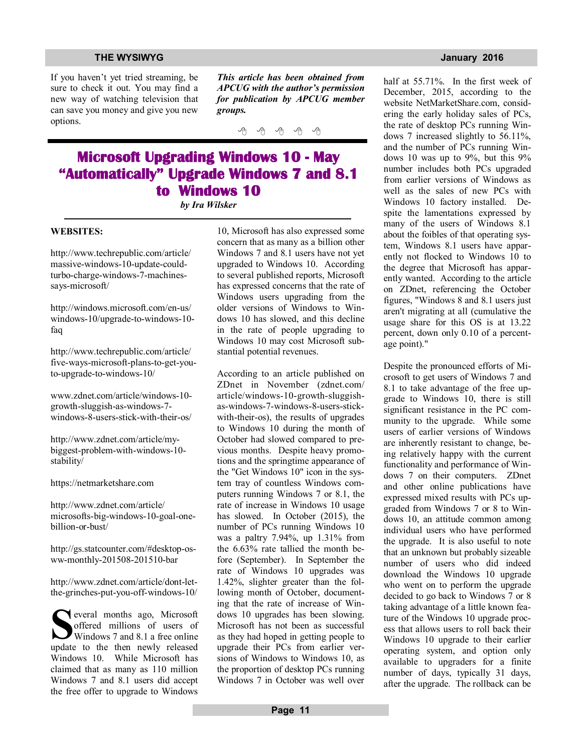If you haven't yet tried streaming, be sure to check it out. You may find a new way of watching television that can save you money and give you new options.

*This article has been obtained from APCUG with the author's permission for publication by APCUG member groups.*

一个 一个

## **Microsoft Upgrading Windows 10 - May "Automatically" Upgrade Windows 7 and 8.1 to Windows 10**

*by Ira Wilsker*

### **WEBSITES:**

http://www.techrepublic.com/article/ massive-windows-10-update-couldturbo-charge-windows-7-machinessays-microsoft/

http://windows.microsoft.com/en-us/ windows-10/upgrade-to-windows-10 faq

http://www.techrepublic.com/article/ five-ways-microsoft-plans-to-get-youto-upgrade-to-windows-10/

www.zdnet.com/article/windows-10 growth-sluggish-as-windows-7 windows-8-users-stick-with-their-os/

http://www.zdnet.com/article/mybiggest-problem-with-windows-10 stability/

https://netmarketshare.com

http://www.zdnet.com/article/ microsofts-big-windows-10-goal-onebillion-or-bust/

http://gs.statcounter.com/#desktop-osww-monthly-201508-201510-bar

http://www.zdnet.com/article/dont-letthe-grinches-put-you-off-windows-10/

**S**<br>
several months ago, Microsoft<br>
offered millions of users of<br>
Windows 7 and 8.1 a free online<br>
update to the then newly released everal months ago, Microsoft offered millions of users of Windows 7 and 8.1 a free online Windows 10. While Microsoft has claimed that as many as 110 million Windows 7 and 8.1 users did accept the free offer to upgrade to Windows

10, Microsoft has also expressed some concern that as many as a billion other Windows 7 and 8.1 users have not yet upgraded to Windows 10. According to several published reports, Microsoft has expressed concerns that the rate of Windows users upgrading from the older versions of Windows to Windows 10 has slowed, and this decline in the rate of people upgrading to Windows 10 may cost Microsoft substantial potential revenues.

According to an article published on ZDnet in November (zdnet.com/ article/windows-10-growth-sluggishas-windows-7-windows-8-users-stickwith-their-os), the results of upgrades to Windows 10 during the month of October had slowed compared to previous months. Despite heavy promotions and the springtime appearance of the "Get Windows 10" icon in the system tray of countless Windows computers running Windows 7 or 8.1, the rate of increase in Windows 10 usage has slowed. In October (2015), the number of PCs running Windows 10 was a paltry 7.94%, up 1.31% from the 6.63% rate tallied the month before (September). In September the rate of Windows 10 upgrades was 1.42%, slighter greater than the following month of October, documenting that the rate of increase of Windows 10 upgrades has been slowing. Microsoft has not been as successful as they had hoped in getting people to upgrade their PCs from earlier versions of Windows to Windows 10, as the proportion of desktop PCs running Windows 7 in October was well over

half at 55.71%. In the first week of December, 2015, according to the website NetMarketShare.com, considering the early holiday sales of PCs, the rate of desktop PCs running Windows 7 increased slightly to 56.11%, and the number of PCs running Windows 10 was up to 9%, but this 9% number includes both PCs upgraded from earlier versions of Windows as well as the sales of new PCs with Windows 10 factory installed. Despite the lamentations expressed by many of the users of Windows 8.1 about the foibles of that operating system, Windows 8.1 users have apparently not flocked to Windows 10 to the degree that Microsoft has apparently wanted. According to the article on ZDnet, referencing the October figures, "Windows 8 and 8.1 users just aren't migrating at all (cumulative the usage share for this OS is at 13.22 percent, down only 0.10 of a percentage point)."

Despite the pronounced efforts of Microsoft to get users of Windows 7 and 8.1 to take advantage of the free upgrade to Windows 10, there is still significant resistance in the PC community to the upgrade. While some users of earlier versions of Windows are inherently resistant to change, being relatively happy with the current functionality and performance of Windows 7 on their computers. ZDnet and other online publications have expressed mixed results with PCs upgraded from Windows 7 or 8 to Windows 10, an attitude common among individual users who have performed the upgrade. It is also useful to note that an unknown but probably sizeable number of users who did indeed download the Windows 10 upgrade who went on to perform the upgrade decided to go back to Windows 7 or 8 taking advantage of a little known feature of the Windows 10 upgrade process that allows users to roll back their Windows 10 upgrade to their earlier operating system, and option only available to upgraders for a finite number of days, typically 31 days, after the upgrade. The rollback can be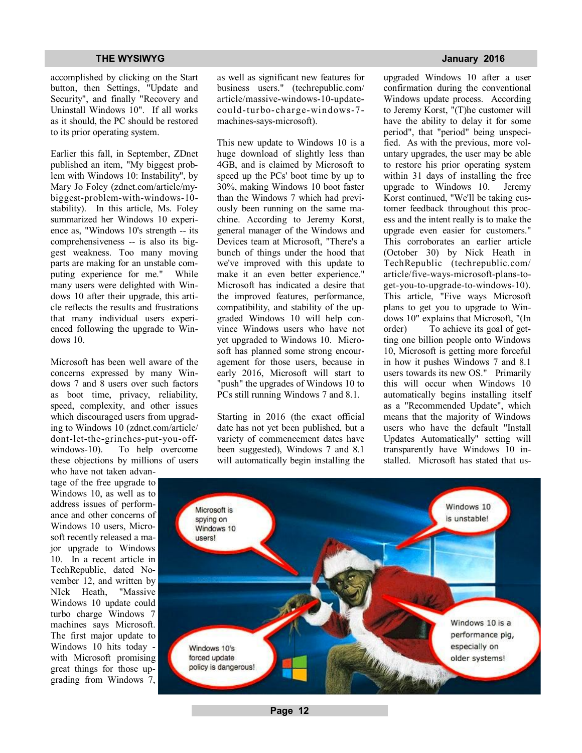accomplished by clicking on the Start button, then Settings, "Update and Security", and finally "Recovery and Uninstall Windows 10". If all works as it should, the PC should be restored to its prior operating system.

Earlier this fall, in September, ZDnet published an item, "My biggest problem with Windows 10: Instability", by Mary Jo Foley (zdnet.com/article/mybiggest-problem-with-windows-10 stability). In this article, Ms. Foley summarized her Windows 10 experience as, "Windows 10's strength -- its comprehensiveness -- is also its biggest weakness. Too many moving parts are making for an unstable computing experience for me." While many users were delighted with Windows 10 after their upgrade, this article reflects the results and frustrations that many individual users experienced following the upgrade to Windows 10.

Microsoft has been well aware of the concerns expressed by many Windows 7 and 8 users over such factors as boot time, privacy, reliability, speed, complexity, and other issues which discouraged users from upgrading to Windows 10 (zdnet.com/article/ dont-let-the-grinches-put-you-offwindows-10). To help overcome these objections by millions of users

who have not taken advantage of the free upgrade to Windows 10, as well as to address issues of performance and other concerns of Windows 10 users, Microsoft recently released a major upgrade to Windows 10. In a recent article in TechRepublic, dated November 12, and written by NIck Heath, "Massive Windows 10 update could turbo charge Windows 7 machines says Microsoft. The first major update to Windows 10 hits today with Microsoft promising great things for those upgrading from Windows 7, as well as significant new features for business users." (techrepublic.com/ article/massive-windows-10-updatecould-turbo- charge-windows-7 machines-says-microsoft).

This new update to Windows 10 is a huge download of slightly less than 4GB, and is claimed by Microsoft to speed up the PCs' boot time by up to 30%, making Windows 10 boot faster than the Windows 7 which had previously been running on the same machine. According to Jeremy Korst, general manager of the Windows and Devices team at Microsoft, "There's a bunch of things under the hood that we've improved with this update to make it an even better experience." Microsoft has indicated a desire that the improved features, performance, compatibility, and stability of the upgraded Windows 10 will help convince Windows users who have not yet upgraded to Windows 10. Microsoft has planned some strong encouragement for those users, because in early 2016, Microsoft will start to "push" the upgrades of Windows 10 to PCs still running Windows 7 and 8.1.

Starting in 2016 (the exact official date has not yet been published, but a variety of commencement dates have been suggested), Windows 7 and 8.1 will automatically begin installing the

upgraded Windows 10 after a user confirmation during the conventional Windows update process. According to Jeremy Korst, "(T)he customer will have the ability to delay it for some period", that "period" being unspecified. As with the previous, more voluntary upgrades, the user may be able to restore his prior operating system within 31 days of installing the free upgrade to Windows 10. Jeremy Korst continued, "We'll be taking customer feedback throughout this process and the intent really is to make the upgrade even easier for customers." This corroborates an earlier article (October 30) by Nick Heath in TechRepublic (techrepublic.com/ article/five-ways-microsoft-plans-toget-you-to-upgrade-to-windows-10). This article, "Five ways Microsoft plans to get you to upgrade to Windows 10" explains that Microsoft, "(In order) To achieve its goal of getting one billion people onto Windows 10, Microsoft is getting more forceful in how it pushes Windows 7 and 8.1 users towards its new OS." Primarily this will occur when Windows 10 automatically begins installing itself as a "Recommended Update", which means that the majority of Windows users who have the default "Install Updates Automatically" setting will transparently have Windows 10 installed. Microsoft has stated that us-



### **Page 12**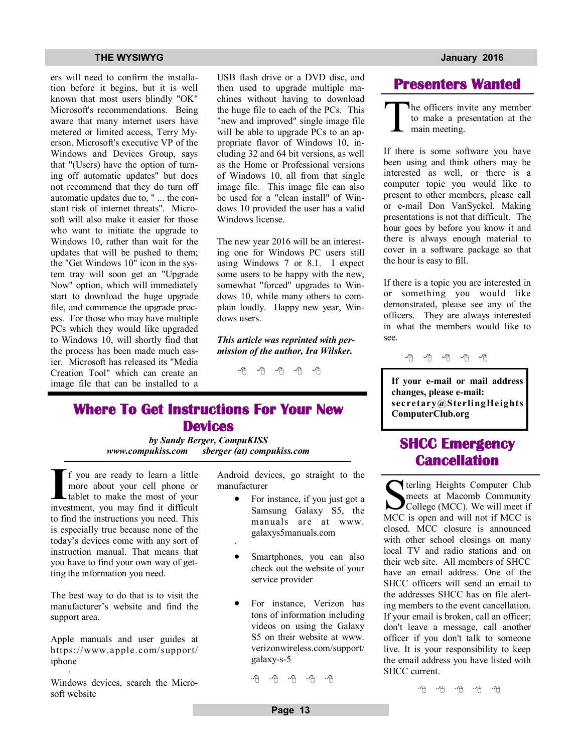### **THE WYSIWYG January 2016**

ers will need to confirm the installation before it begins, but it is well known that most users blindly "OK" Microsoft's recommendations. Being aware that many internet users have metered or limited access, Terry Myerson, Microsoft's executive VP of the Windows and Devices Group, says that "(Users) have the option of turning off automatic updates" but does not recommend that they do turn off automatic updates due to, " ... the constant risk of internet threats". Microsoft will also make it easier for those who want to initiate the upgrade to Windows 10, rather than wait for the updates that will be pushed to them; the "Get Windows 10" icon in the system tray will soon get an "Upgrade Now" option, which will immediately start to download the huge upgrade file, and commence the upgrade process. For those who may have multiple PCs which they would like upgraded to Windows 10, will shortly find that the process has been made much easier. Microsoft has released its "Media Creation Tool" which can create an image file that can be installed to a

USB flash drive or a DVD disc, and then used to upgrade multiple machines without having to download the huge file to each of the PCs. This "new and improved" single image file will be able to upgrade PCs to an appropriate flavor of Windows 10, including 32 and 64 bit versions, as well as the Home or Professional versions of Windows 10, all from that single image file. This image file can also be used for a "clean install" of Windows 10 provided the user has a valid Windows license.

The new year 2016 will be an interesting one for Windows PC users still using Windows 7 or 8.1. I expect some users to be happy with the new, somewhat "forced" upgrades to Windows 10, while many others to complain loudly. Happy new year, Windows users.

*This article was reprinted with permission of the author, Ira Wilsker.*

西 四 四 四

## **Where To Get Instructions For Your New Devices**

*by Sandy Berger, CompuKISS www.compukiss.com sberger (at) compukiss.com*

·

If you are ready to learn a little more about your cell phone or tablet to make the most of your investment, you may find it difficult f you are ready to learn a little more about your cell phone or tablet to make the most of your to find the instructions you need. This is especially true because none of the today's devices come with any sort of instruction manual. That means that you have to find your own way of getting the information you need.

The best way to do that is to visit the manufacturer's website and find the support area.

Apple manuals and user guides at https://www.apple.com/support/ iphone ·

Windows devices, search the Microsoft website

Android devices, go straight to the manufacturer

- For instance, if you just got a Samsung Galaxy S5, the manuals are at www. galaxys5manuals.com
- Smartphones, you can also check out the website of your service provider
- For instance, Verizon has tons of information including videos on using the Galaxy S5 on their website at www. verizonwireless.com/support/ galaxy-s-5

A A A A A

## **Presenters Wanted**

T he officers invite any member to make a presentation at the main meeting.

If there is some software you have been using and think others may be interested as well, or there is a computer topic you would like to present to other members, please call or e-mail Don VanSyckel. Making presentations is not that difficult. The hour goes by before you know it and there is always enough material to cover in a software package so that the hour is easy to fill.

If there is a topic you are interested in or something you would like demonstrated, please see any of the officers. They are always interested in what the members would like to see.

中 中 中 中 中

**If your e-mail or mail address changes, please e-mail: secretary@SterlingHeights ComputerClub.org**

## **SHCC Emergency Cancellation**

Serveling Heights Computer Club<br>
meets at Macomb Community<br>
College (MCC). We will meet if<br>
MCC is open and will not if MCC is terling Heights Computer Club meets at Macomb Community College (MCC). We will meet if closed. MCC closure is announced with other school closings on many local TV and radio stations and on their web site. All members of SHCC have an email address. One of the SHCC officers will send an email to the addresses SHCC has on file alerting members to the event cancellation. If your email is broken, call an officer; don't leave a message, call another officer if you don't talk to someone live. It is your responsibility to keep the email address you have listed with SHCC current.

佛 서 서 서 서